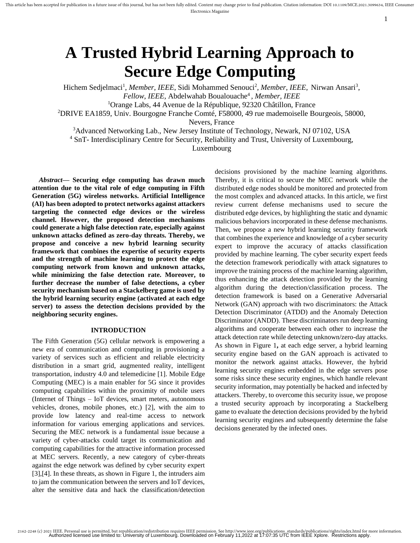# 1

2162-2248 (c) 2021 IEEE. Personal use is permitted, but republication/redistribution requires IEEE permission. See http://www.ieee.org/publications\_standards/publications/rights/index.html for more information.<br>Authorized

# **A Trusted Hybrid Learning Approach to Secure Edge Computing**

Hichem Sedjelmaci<sup>1</sup>, Member, IEEE, Sidi Mohammed Senouci<sup>2</sup>, Member, IEEE, Nirwan Ansari<sup>3</sup>, *Fellow, IEEE,* Abdelwahab Boualouache<sup>4</sup> *, Member, IEEE* <sup>1</sup>Orange Labs, 44 Avenue de la République, 92320 Châtillon, France

<sup>2</sup>DRIVE EA1859, Univ. Bourgogne Franche Comté, F58000, 49 rue mademoiselle Bourgeois, 58000,

Nevers, France

<sup>3</sup>[Advanced Networking Lab.,](http://ece.njit.edu/) [New Jersey Institute of Technology,](http://www.njit.edu/) Newark, NJ 07102, USA

<sup>4</sup> SnT- Interdisciplinary Centre for Security, Reliability and Trust, University of Luxembourg,

Luxembourg

*Abstract***— Securing edge computing has drawn much attention due to the vital role of edge computing in Fifth Generation (5G) wireless networks. Artificial Intelligence (AI) has been adopted to protect networks against attackers targeting the connected edge devices or the wireless channel. However, the proposed detection mechanisms could generate a high false detection rate, especially against unknown attacks defined as zero-day threats. Thereby, we propose and conceive a new hybrid learning security framework that combines the expertise of security experts and the strength of machine learning to protect the edge computing network from known and unknown attacks, while minimizing the false detection rate. Moreover, to further decrease the number of false detections, a cyber security mechanism based on a Stackelberg game is used by the hybrid learning security engine (activated at each edge server) to assess the detection decisions provided by the neighboring security engines.**

## **INTRODUCTION**

The Fifth Generation (5G) cellular network is empowering a new era of communication and computing in provisioning a variety of services such as efficient and reliable electricity distribution in a smart grid, augmented reality, intelligent transportation, industry 4.0 and telemedicine [1]. Mobile Edge Computing (MEC) is a main enabler for 5G since it provides computing capabilities within the proximity of mobile users (Internet of Things – IoT devices, smart meters, autonomous vehicles, drones, mobile phones, etc.) [2], with the aim to provide low latency and real-time access to network information for various emerging applications and services. Securing the MEC network is a fundamental issue because a variety of cyber-attacks could target its communication and computing capabilities for the attractive information processed at MEC servers. Recently, a new category of cyber-threats against the edge network was defined by cyber security expert [3],[4]. In these threats, as shown in Figure 1, the intruders aim to jam the communication between the servers and IoT devices, alter the sensitive data and hack the classification/detection

decisions provisioned by the machine learning algorithms. Thereby, it is critical to secure the MEC network while the distributed edge nodes should be monitored and protected from the most complex and advanced attacks. In this article, we first review current defense mechanisms used to secure the distributed edge devices, by highlighting the static and dynamic malicious behaviors incorporated in these defense mechanisms. Then, we propose a new hybrid learning security framework that combines the experience and knowledge of a cyber security expert to improve the accuracy of attacks classification provided by machine learning. The cyber security expert feeds the detection framework periodically with attack signatures to improve the training process of the machine learning algorithm, thus enhancing the attack detection provided by the learning algorithm during the detection/classification process. The detection framework is based on a Generative Adversarial Network (GAN) approach with two discriminators: the Attack Detection Discriminator (ATDD) and the Anomaly Detection Discriminator (ANDD). These discriminators run deep learning algorithms and cooperate between each other to increase the attack detection rate while detecting unknown/zero-day attacks. As shown in Figure 1**,** at each edge server, a hybrid learning security engine based on the GAN approach is activated to monitor the network against attacks. However, the hybrid learning security engines embedded in the edge servers pose some risks since these security engines, which handle relevant security information, may potentially be hacked and infected by attackers. Thereby, to overcome this security issue, we propose a trusted security approach by incorporating a Stackelberg game to evaluate the detection decisions provided by the hybrid learning security engines and subsequently determine the false decisions generated by the infected ones.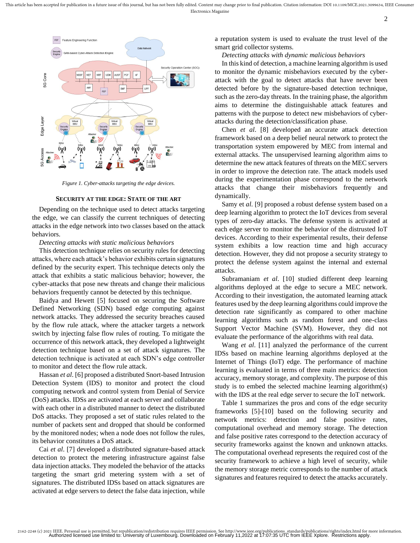

*Figure 1. Cyber-attacks targeting the edge devices.*

## **SECURITY AT THE EDGE: STATE OF THE ART**

Depending on the technique used to detect attacks targeting the edge, we can classify the current techniques of detecting attacks in the edge network into two classes based on the attack behaviors.

## *Detecting attacks with static malicious behaviors*

This detection technique relies on security rules for detecting attacks, where each attack's behavior exhibits certain signatures defined by the security expert. This technique detects only the attack that exhibits a static malicious behavior; however, the cyber-attacks that pose new threats and change their malicious behaviors frequently cannot be detected by this technique.

Baidya and Hewett [5] focused on securing the Software Defined Networking (SDN) based edge computing against network attacks. They addressed the security breaches caused by the flow rule attack, where the attacker targets a network switch by injecting false flow rules of routing. To mitigate the occurrence of this network attack, they developed a lightweight detection technique based on a set of attack signatures. The detection technique is activated at each SDN's edge controller to monitor and detect the flow rule attack.

Hassan *et al*. [6] proposed a distributed Snort-based Intrusion Detection System (IDS) to monitor and protect the cloud computing network and control system from Denial of Service (DoS) attacks. IDSs are activated at each server and collaborate with each other in a distributed manner to detect the distributed DoS attacks. They proposed a set of static rules related to the number of packets sent and dropped that should be conformed by the monitored nodes; when a node does not follow the rules, its behavior constitutes a DoS attack.

Cai *et al*. [7] developed a distributed signature-based attack detection to protect the metering infrastructure against false data injection attacks. They modeled the behavior of the attacks targeting the smart grid metering system with a set of signatures. The distributed IDSs based on attack signatures are activated at edge servers to detect the false data injection, while

a reputation system is used to evaluate the trust level of the smart grid collector systems.

*Detecting attacks with dynamic malicious behaviors*

In this kind of detection, a machine learning algorithm is used to monitor the dynamic misbehaviors executed by the cyberattack with the goal to detect attacks that have never been detected before by the signature-based detection technique, such as the zero-day threats. In the training phase, the algorithm aims to determine the distinguishable attack features and patterns with the purpose to detect new misbehaviors of cyberattacks during the detection/classification phase.

Chen *et al*. [8] developed an accurate attack detection framework based on a deep belief neural network to protect the transportation system empowered by MEC from internal and external attacks. The unsupervised learning algorithm aims to determine the new attack features of threats on the MEC servers in order to improve the detection rate. The attack models used during the experimentation phase correspond to the network attacks that change their misbehaviors frequently and dynamically.

Samy et *al*. [9] proposed a robust defense system based on a deep learning algorithm to protect the IoT devices from several types of zero-day attacks. The defense system is activated at each edge server to monitor the behavior of the distrusted IoT devices. According to their experimental results, their defense system exhibits a low reaction time and high accuracy detection. However, they did not propose a security strategy to protect the defense system against the internal and external attacks.

Subramaniam *et al*. [10] studied different deep learning algorithms deployed at the edge to secure a MEC network. According to their investigation, the automated learning attack features used by the deep learning algorithms could improve the detection rate significantly as compared to other machine learning algorithms such as random forest and one-class Support Vector Machine (SVM). However, they did not evaluate the performance of the algorithms with real data.

Wang *et al*. [11] analyzed the performance of the current IDSs based on machine learning algorithms deployed at the Internet of Things (IoT) edge. The performance of machine learning is evaluated in terms of three main metrics: detection accuracy, memory storage, and complexity. The purpose of this study is to embed the selected machine learning algorithm(s) with the IDS at the real edge server to secure the IoT network.

Table 1 summarizes the pros and cons of the edge security frameworks [5]-[10] based on the following security and network metrics: detection and false positive rates, computational overhead and memory storage. The detection and false positive rates correspond to the detection accuracy of security frameworks against the known and unknown attacks. The computational overhead represents the required cost of the security framework to achieve a high level of security, while the memory storage metric corresponds to the number of attack signatures and features required to detect the attacks accurately.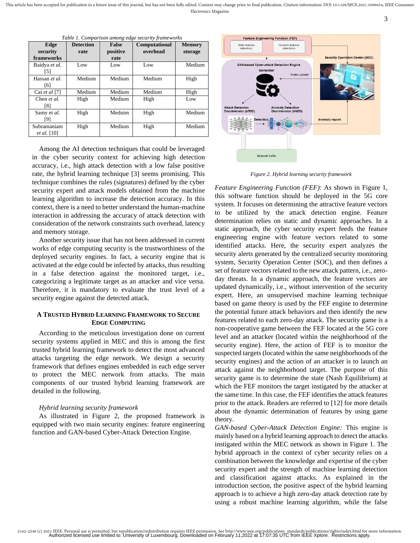This article has been accepted for publication in a future issue of this journal, but has not been fully edited. Content may change prior to final publication. Citation information: DOI 10.1109/MCE.2021.3099634, IEEE Consu Electronics Magazine

| Edge<br>security<br>frameworks    | <b>Detection</b><br>rate | <b>False</b><br>positive<br>rate | Computational<br>overhead | <b>Memory</b><br>storage |
|-----------------------------------|--------------------------|----------------------------------|---------------------------|--------------------------|
| Baidya et al.<br>[5]              | Low                      | Low                              | Low                       | Medium                   |
| Hassan et al.<br>[6]              | Medium                   | Medium                           | Medium                    | High                     |
| Cai et al $[7]$                   | Medium                   | Medium                           | Medium                    | High                     |
| Chen et al.<br>[8]                | High                     | Medium                           | High                      | Low                      |
| Samy et al.<br>[9]                | High                     | Meduim                           | High                      | Medium                   |
| Subramaniam<br><i>et al.</i> [10] | High                     | Medium                           | High                      | Medium                   |

*Table 1. Comparison among edge security frameworks*

Among the AI detection techniques that could be leveraged in the cyber security context for achieving high detection accuracy, i.e., high attack detection with a low false positive rate, the hybrid learning technique [3] seems promising. This technique combines the rules (signatures) defined by the cyber security expert and attack models obtained from the machine learning algorithm to increase the detection accuracy. In this context, there is a need to better understand the human-machine interaction in addressing the accuracy of attack detection with consideration of the network constraints such overhead, latency and memory storage.

Another security issue that has not been addressed in current works of edge computing security is the trustworthiness of the deployed security engines. In fact, a security engine that is activated at the edge could be infected by attacks, thus resulting in a false detection against the monitored target, i.e., categorizing a legitimate target as an attacker and vice versa. Therefore, it is mandatory to evaluate the trust level of a security engine against the detected attack.

# **A TRUSTED HYBRID LEARNING FRAMEWORK TO SECURE EDGE COMPUTING**

According to the meticulous investigation done on current security systems applied in MEC and this is among the first trusted hybrid learning framework to detect the most advanced attacks targeting the edge network. We design a security framework that defines engines embedded in each edge server to protect the MEC network from attacks. The main components of our trusted hybrid learning framework are detailed in the following.

## *Hybrid learning security framework*

As illustrated in Figure 2, the proposed framework is equipped with two main security engines: feature engineering function and GAN-based Cyber-Attack Detection Engine.



3

*Figure 2. Hybrid learning security framework*

*Feature Engineering Function (FEF)*: As shown in Figure 1, this software function should be deployed in the 5G core system. It focuses on determining the attractive feature vectors to be utilized by the attack detection engine. Feature determination relies on static and dynamic approaches. In a static approach, the cyber security expert feeds the feature engineering engine with feature vectors related to some identified attacks. Here, the security expert analyzes the security alerts generated by the centralized security monitoring system, Security Operation Center (SOC), and then defines a set of feature vectors related to the new attack pattern, i.e., zeroday threats. In a dynamic approach, the feature vectors are updated dynamically, i.e., without intervention of the security expert. Here, an unsupervised machine learning technique based on game theory is used by the FEF engine to determine the potential future attack behaviors and then identify the new features related to each zero-day attack. The security game is a non-cooperative game between the FEF located at the 5G core level and an attacker (located within the neighborhood of the security engine). Here, the action of FEF is to monitor the suspected targets (located within the same neighborhoods of the security engines) and the action of an attacker is to launch an attack against the neighborhood target. The purpose of this security game is to determine the state (Nash Equilibrium) at which the FEF monitors the target instigated by the attacker at the same time. In this case, the FEF identifies the attack features prior to the attack. Readers are referred to [12] for more details about the dynamic determination of features by using game theory.

*GAN-based Cyber-Attack Detection Engine:* This engine is mainly based on a hybrid learning approach to detect the attacks instigated within the MEC network as shown in Figure 1. The hybrid approach in the context of cyber security relies on a combination between the knowledge and expertise of the cyber security expert and the strength of machine learning detection and classification against attacks. As explained in the introduction section, the positive aspect of the hybrid learning approach is to achieve a high zero-day attack detection rate by using a robust machine learning algorithm, while the false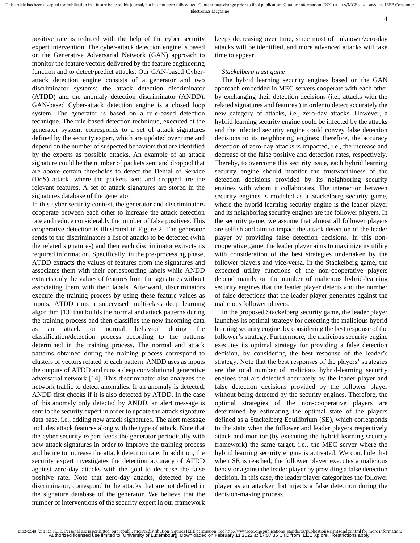positive rate is reduced with the help of the cyber security expert intervention. The cyber-attack detection engine is based on the Generative Adversarial Network (GAN) approach to monitor the feature vectors delivered by the feature engineering function and to detect/predict attacks. Our GAN-based Cyberattack detection engine consists of a generator and two discriminator systems: the attack detection discriminator (ATDD) and the anomaly detection discriminator (ANDD). GAN-based Cyber-attack detection engine is a closed loop system. The generator is based on a rule-based detection technique. The rule-based detection technique, executed at the generator system, corresponds to a set of attack signatures defined by the security expert, which are updated over time and depend on the number of suspected behaviors that are identified by the experts as possible attacks. An example of an attack signature could be the number of packets sent and dropped that are above certain thresholds to detect the Denial of Service (DoS) attack, where the packets sent and dropped are the relevant features. A set of attack signatures are stored in the signatures database of the generator.

In this cyber security context, the generator and discriminators cooperate between each other to increase the attack detection rate and reduce considerably the number of false positives. This cooperative detection is illustrated in Figure 2. The generator sends to the discriminators a list of attacks to be detected (with the related signatures) and then each discriminator extracts its required information. Specifically, in the pre-processing phase, ATDD extracts the values of features from the signatures and associates them with their corresponding labels while ANDD extracts only the values of features from the signatures without associating them with their labels. Afterward, discriminators execute the training process by using these feature values as inputs. ATDD runs a supervised multi-class deep learning algorithm [13] that builds the normal and attack patterns during the training process and then classifies the new incoming data as an attack or normal behavior during the classification/detection process according to the patterns determined in the training process. The normal and attack patterns obtained during the training process correspond to clusters of vectors related to each pattern. ANDD uses as inputs the outputs of ATDD and runs a deep convolutional generative adversarial network [14]. This discriminator also analyzes the network traffic to detect anomalies. If an anomaly is detected, ANDD first checks if it is also detected by ATDD. In the case of this anomaly only detected by ANDD, an alert message is sent to the security expert in order to update the attack signature data base, i.e., adding new attack signatures. The alert message includes attack features along with the type of attack. Note that the cyber security expert feeds the generator periodically with new attack signatures in order to improve the training process and hence to increase the attack detection rate. In addition, the security expert investigates the detection accuracy of ATDD against zero-day attacks with the goal to decrease the false positive rate. Note that zero-day attacks, detected by the discriminator, correspond to the attacks that are not defined in the signature database of the generator. We believe that the number of interventions of the security expert in our framework

keeps decreasing over time, since most of unknown/zero-day attacks will be identified, and more advanced attacks will take time to appear.

## *Stackelberg trust game*

The hybrid learning security engines based on the GAN approach embedded in MEC servers cooperate with each other by exchanging their detection decisions (i.e., attacks with the related signatures and features ) in order to detect accurately the new category of attacks, i.e., zero-day attacks. However, a hybrid learning security engine could be infected by the attacks and the infected security engine could convey false detection decisions to its neighboring engines; therefore, the accuracy detection of zero-day attacks is impacted, i.e., the increase and decrease of the false positive and detection rates, respectively. Thereby, to overcome this security issue, each hybrid learning security engine should monitor the trustworthiness of the detection decisions provided by its neighboring security engines with whom it collaborates. The interaction between security engines is modeled as a Stackelberg security game, where the hybrid learning security engine is the leader player and its neighboring security engines are the follower players. In the security game, we assume that almost all follower players are selfish and aim to impact the attack detection of the leader player by providing false detection decisions. In this noncooperative game, the leader player aims to maximize its utility with consideration of the best strategies undertaken by the follower players and vice-versa. In the Stackelberg game, the expected utility functions of the non-cooperative players depend mainly on the number of malicious hybrid-learning security engines that the leader player detects and the number of false detections that the leader player generates against the malicious follower players.

In the proposed Stackelberg security game, the leader player launches its optimal strategy for detecting the malicious hybrid learning security engine, by considering the best response of the follower's strategy. Furthermore, the malicious security engine executes its optimal strategy for providing a false detection decision, by considering the best response of the leader's strategy. Note that the best responses of the players' strategies are the total number of malicious hybrid-learning security engines that are detected accurately by the leader player and false detection decisions provided by the follower player without being detected by the security engines. Therefore, the optimal strategies of the non-cooperative players are determined by estimating the optimal state of the players defined as a Stackelberg Equilibrium (SE), which corresponds to the state when the follower and leader players respectively attack and monitor (by executing the hybrid learning security framework) the same target, i.e., the MEC server where the hybrid learning security engine is activated. We conclude that when SE is reached, the follower player executes a malicious behavior against the leader player by providing a false detection decision. In this case, the leader player categorizes the follower player as an attacker that injects a false detection during the decision-making process.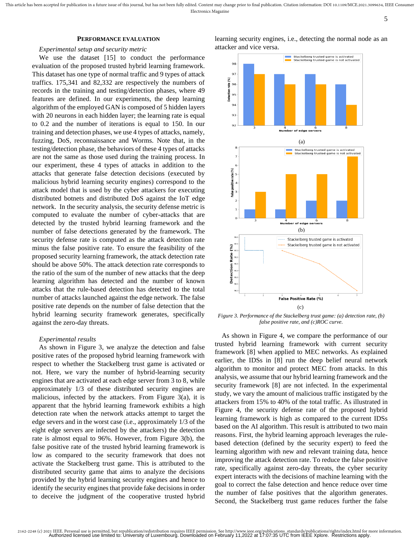#### **PERFORMANCE EVALUATION**

## *Experimental setup and security metric*

We use the dataset [15] to conduct the performance evaluation of the proposed trusted hybrid learning framework. This dataset has one type of normal traffic and 9 types of attack traffics. 175,341 and 82,332 are respectively the numbers of records in the training and testing/detection phases, where 49 features are defined. In our experiments, the deep learning algorithm of the employed GAN is composed of 5 hidden layers with 20 neurons in each hidden layer; the learning rate is equal to 0.2 and the number of iterations is equal to 150. In our training and detection phases, we use 4 types of attacks, namely, fuzzing, DoS, reconnaissance and Worms. Note that, in the testing/detection phase, the behaviors of these 4 types of attacks are not the same as those used during the training process. In our experiment, these 4 types of attacks in addition to the attacks that generate false detection decisions (executed by malicious hybrid learning security engines) correspond to the attack model that is used by the cyber attackers for executing distributed botnets and distributed DoS against the IoT edge network. In the security analysis, the security defense metric is computed to evaluate the number of cyber-attacks that are detected by the trusted hybrid learning framework and the number of false detections generated by the framework. The security defense rate is computed as the attack detection rate minus the false positive rate. To ensure the feasibility of the proposed security learning framework, the attack detection rate should be above 50%. The attack detection rate corresponds to the ratio of the sum of the number of new attacks that the deep learning algorithm has detected and the number of known attacks that the rule-based detection has detected to the total number of attacks launched against the edge network. The false positive rate depends on the number of false detection that the hybrid learning security framework generates, specifically against the zero-day threats.

## *Experimental results*

As shown in Figure 3, we analyze the detection and false positive rates of the proposed hybrid learning framework with respect to whether the Stackelberg trust game is activated or not. Here, we vary the number of hybrid-learning security engines that are activated at each edge server from 3 to 8, while approximately 1/3 of these distributed security engines are malicious, infected by the attackers. From Figure 3(a), it is apparent that the hybrid learning framework exhibits a high detection rate when the network attacks attempt to target the edge severs and in the worst case (i.e., approximately 1/3 of the eight edge servers are infected by the attackers) the detection rate is almost equal to 96%. However, from Figure 3(b), the false positive rate of the trusted hybrid learning framework is low as compared to the security framework that does not activate the Stackelberg trust game. This is attributed to the distributed security game that aims to analyze the decisions provided by the hybrid learning security engines and hence to identify the security engines that provide fake decisions in order to deceive the judgment of the cooperative trusted hybrid



learning security engines, i.e., detecting the normal node as an

False Positive Rate (%) (c) *Figure 3. Performance of the Stackelberg trust game: (a) detection rate, (b)* 

*false positive rate, and (c)ROC curve.*

As shown in Figure 4, we compare the performance of our trusted hybrid learning framework with current security framework [8] when applied to MEC networks. As explained earlier, the IDSs in [8] run the deep belief neural network algorithm to monitor and protect MEC from attacks. In this analysis, we assume that our hybrid learning framework and the security framework [8] are not infected. In the experimental study, we vary the amount of malicious traffic instigated by the attackers from 15% to 40% of the total traffic. As illustrated in Figure 4, the security defense rate of the proposed hybrid learning framework is high as compared to the current IDSs based on the AI algorithm. This result is attributed to two main reasons. First, the hybrid learning approach leverages the rulebased detection (defined by the security expert) to feed the learning algorithm with new and relevant training data, hence improving the attack detection rate. To reduce the false positive rate, specifically against zero-day threats, the cyber security expert interacts with the decisions of machine learning with the goal to correct the false detection and hence reduce over time the number of false positives that the algorithm generates. Second, the Stackelberg trust game reduces further the false